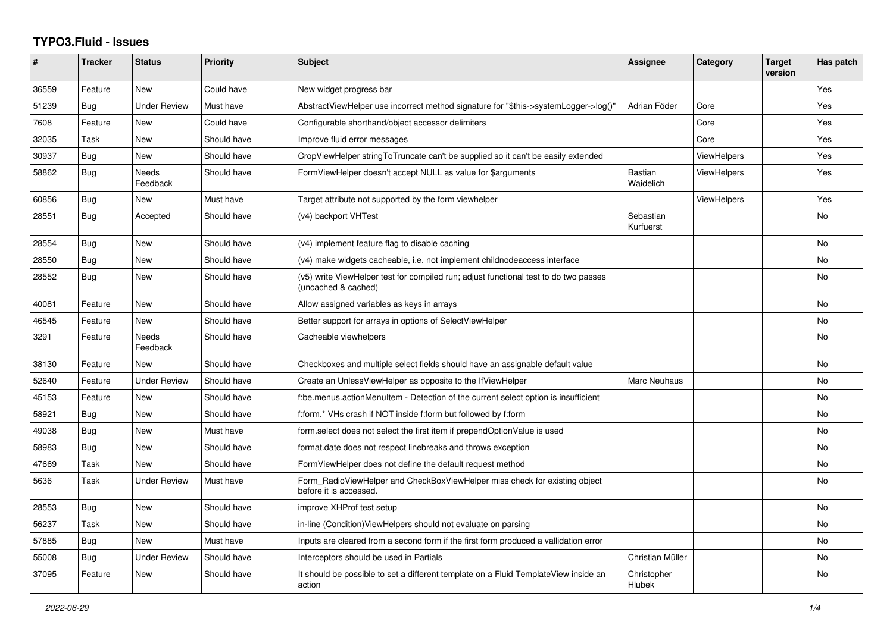## **TYPO3.Fluid - Issues**

| #     | <b>Tracker</b> | <b>Status</b>            | <b>Priority</b> | Subject                                                                                                     | Assignee                     | Category           | <b>Target</b><br>version | Has patch      |
|-------|----------------|--------------------------|-----------------|-------------------------------------------------------------------------------------------------------------|------------------------------|--------------------|--------------------------|----------------|
| 36559 | Feature        | <b>New</b>               | Could have      | New widget progress bar                                                                                     |                              |                    |                          | Yes            |
| 51239 | Bug            | <b>Under Review</b>      | Must have       | AbstractViewHelper use incorrect method signature for "\$this->systemLogger->log()"                         | Adrian Föder                 | Core               |                          | Yes            |
| 7608  | Feature        | New                      | Could have      | Configurable shorthand/object accessor delimiters                                                           |                              | Core               |                          | Yes            |
| 32035 | Task           | New                      | Should have     | Improve fluid error messages                                                                                |                              | Core               |                          | Yes            |
| 30937 | Bug            | New                      | Should have     | CropViewHelper stringToTruncate can't be supplied so it can't be easily extended                            |                              | <b>ViewHelpers</b> |                          | Yes            |
| 58862 | Bug            | <b>Needs</b><br>Feedback | Should have     | FormViewHelper doesn't accept NULL as value for \$arguments                                                 | Bastian<br>Waidelich         | <b>ViewHelpers</b> |                          | Yes            |
| 60856 | Bug            | New                      | Must have       | Target attribute not supported by the form viewhelper                                                       |                              | ViewHelpers        |                          | Yes            |
| 28551 | <b>Bug</b>     | Accepted                 | Should have     | (v4) backport VHTest                                                                                        | Sebastian<br>Kurfuerst       |                    |                          | No             |
| 28554 | Bug            | <b>New</b>               | Should have     | (v4) implement feature flag to disable caching                                                              |                              |                    |                          | No.            |
| 28550 | <b>Bug</b>     | New                      | Should have     | (v4) make widgets cacheable, i.e. not implement childnodeaccess interface                                   |                              |                    |                          | N <sub>o</sub> |
| 28552 | Bug            | New                      | Should have     | (v5) write ViewHelper test for compiled run; adjust functional test to do two passes<br>(uncached & cached) |                              |                    |                          | No.            |
| 40081 | Feature        | <b>New</b>               | Should have     | Allow assigned variables as keys in arrays                                                                  |                              |                    |                          | No             |
| 46545 | Feature        | New                      | Should have     | Better support for arrays in options of SelectViewHelper                                                    |                              |                    |                          | No             |
| 3291  | Feature        | Needs<br>Feedback        | Should have     | Cacheable viewhelpers                                                                                       |                              |                    |                          | No.            |
| 38130 | Feature        | New                      | Should have     | Checkboxes and multiple select fields should have an assignable default value                               |                              |                    |                          | No             |
| 52640 | Feature        | <b>Under Review</b>      | Should have     | Create an UnlessViewHelper as opposite to the IfViewHelper                                                  | Marc Neuhaus                 |                    |                          | No             |
| 45153 | Feature        | <b>New</b>               | Should have     | f:be.menus.actionMenuItem - Detection of the current select option is insufficient                          |                              |                    |                          | No.            |
| 58921 | Bug            | New                      | Should have     | f:form.* VHs crash if NOT inside f:form but followed by f:form                                              |                              |                    |                          | No             |
| 49038 | Bug            | New                      | Must have       | form select does not select the first item if prependOptionValue is used                                    |                              |                    |                          | No             |
| 58983 | Bug            | <b>New</b>               | Should have     | format.date does not respect linebreaks and throws exception                                                |                              |                    |                          | No             |
| 47669 | Task           | <b>New</b>               | Should have     | FormViewHelper does not define the default request method                                                   |                              |                    |                          | No             |
| 5636  | Task           | <b>Under Review</b>      | Must have       | Form RadioViewHelper and CheckBoxViewHelper miss check for existing object<br>before it is accessed.        |                              |                    |                          | No             |
| 28553 | Bug            | <b>New</b>               | Should have     | improve XHProf test setup                                                                                   |                              |                    |                          | No             |
| 56237 | Task           | <b>New</b>               | Should have     | in-line (Condition) View Helpers should not evaluate on parsing                                             |                              |                    |                          | No             |
| 57885 | Bug            | New                      | Must have       | Inputs are cleared from a second form if the first form produced a vallidation error                        |                              |                    |                          | No             |
| 55008 | Bug            | <b>Under Review</b>      | Should have     | Interceptors should be used in Partials                                                                     | Christian Müller             |                    |                          | No             |
| 37095 | Feature        | New                      | Should have     | It should be possible to set a different template on a Fluid TemplateView inside an<br>action               | Christopher<br><b>Hlubek</b> |                    |                          | No             |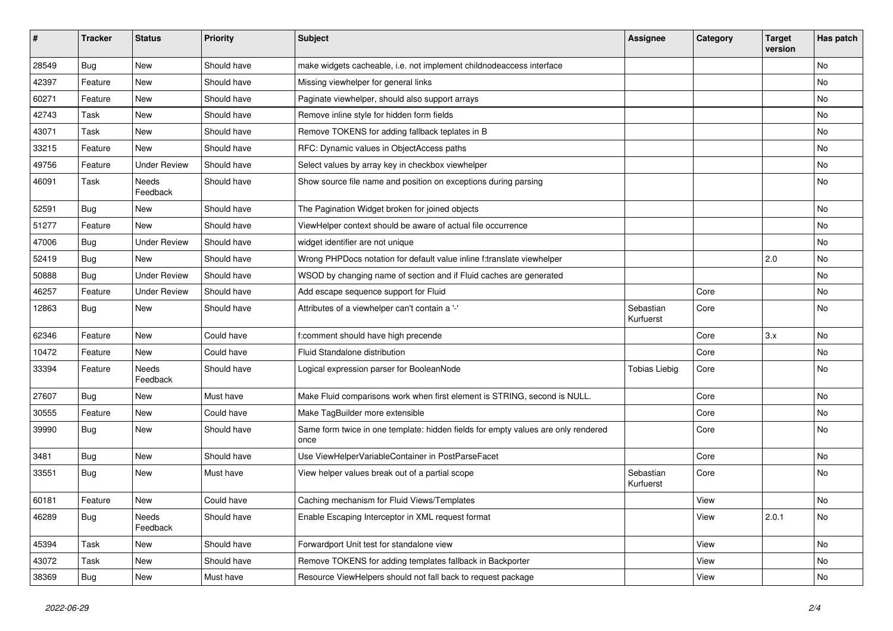| $\sharp$ | <b>Tracker</b> | <b>Status</b>       | <b>Priority</b> | <b>Subject</b>                                                                            | <b>Assignee</b>        | Category | <b>Target</b><br>version | Has patch |
|----------|----------------|---------------------|-----------------|-------------------------------------------------------------------------------------------|------------------------|----------|--------------------------|-----------|
| 28549    | Bug            | New                 | Should have     | make widgets cacheable, i.e. not implement childnodeaccess interface                      |                        |          |                          | <b>No</b> |
| 42397    | Feature        | New                 | Should have     | Missing viewhelper for general links                                                      |                        |          |                          | No        |
| 60271    | Feature        | New                 | Should have     | Paginate viewhelper, should also support arrays                                           |                        |          |                          | No        |
| 42743    | Task           | New                 | Should have     | Remove inline style for hidden form fields                                                |                        |          |                          | No        |
| 43071    | Task           | New                 | Should have     | Remove TOKENS for adding fallback teplates in B                                           |                        |          |                          | No        |
| 33215    | Feature        | New                 | Should have     | RFC: Dynamic values in ObjectAccess paths                                                 |                        |          |                          | No        |
| 49756    | Feature        | <b>Under Review</b> | Should have     | Select values by array key in checkbox viewhelper                                         |                        |          |                          | No        |
| 46091    | Task           | Needs<br>Feedback   | Should have     | Show source file name and position on exceptions during parsing                           |                        |          |                          | No        |
| 52591    | Bug            | New                 | Should have     | The Pagination Widget broken for joined objects                                           |                        |          |                          | No        |
| 51277    | Feature        | <b>New</b>          | Should have     | ViewHelper context should be aware of actual file occurrence                              |                        |          |                          | No        |
| 47006    | Bug            | <b>Under Review</b> | Should have     | widget identifier are not unique                                                          |                        |          |                          | No        |
| 52419    | Bug            | New                 | Should have     | Wrong PHPDocs notation for default value inline f:translate viewhelper                    |                        |          | 2.0                      | No        |
| 50888    | Bug            | <b>Under Review</b> | Should have     | WSOD by changing name of section and if Fluid caches are generated                        |                        |          |                          | No        |
| 46257    | Feature        | <b>Under Review</b> | Should have     | Add escape sequence support for Fluid                                                     |                        | Core     |                          | No        |
| 12863    | Bug            | New                 | Should have     | Attributes of a viewhelper can't contain a '-'                                            | Sebastian<br>Kurfuerst | Core     |                          | No        |
| 62346    | Feature        | New                 | Could have      | f:comment should have high precende                                                       |                        | Core     | 3.x                      | No        |
| 10472    | Feature        | New                 | Could have      | Fluid Standalone distribution                                                             |                        | Core     |                          | No        |
| 33394    | Feature        | Needs<br>Feedback   | Should have     | Logical expression parser for BooleanNode                                                 | <b>Tobias Liebig</b>   | Core     |                          | No        |
| 27607    | Bug            | New                 | Must have       | Make Fluid comparisons work when first element is STRING, second is NULL.                 |                        | Core     |                          | No        |
| 30555    | Feature        | New                 | Could have      | Make TagBuilder more extensible                                                           |                        | Core     |                          | No        |
| 39990    | Bug            | New                 | Should have     | Same form twice in one template: hidden fields for empty values are only rendered<br>once |                        | Core     |                          | No        |
| 3481     | Bug            | New                 | Should have     | Use ViewHelperVariableContainer in PostParseFacet                                         |                        | Core     |                          | No        |
| 33551    | Bug            | New                 | Must have       | View helper values break out of a partial scope                                           | Sebastian<br>Kurfuerst | Core     |                          | No        |
| 60181    | Feature        | New                 | Could have      | Caching mechanism for Fluid Views/Templates                                               |                        | View     |                          | No        |
| 46289    | <b>Bug</b>     | Needs<br>Feedback   | Should have     | Enable Escaping Interceptor in XML request format                                         |                        | View     | 2.0.1                    | No        |
| 45394    | Task           | New                 | Should have     | Forwardport Unit test for standalone view                                                 |                        | View     |                          | No        |
| 43072    | Task           | New                 | Should have     | Remove TOKENS for adding templates fallback in Backporter                                 |                        | View     |                          | No        |
| 38369    | <b>Bug</b>     | New                 | Must have       | Resource ViewHelpers should not fall back to request package                              |                        | View     |                          | No        |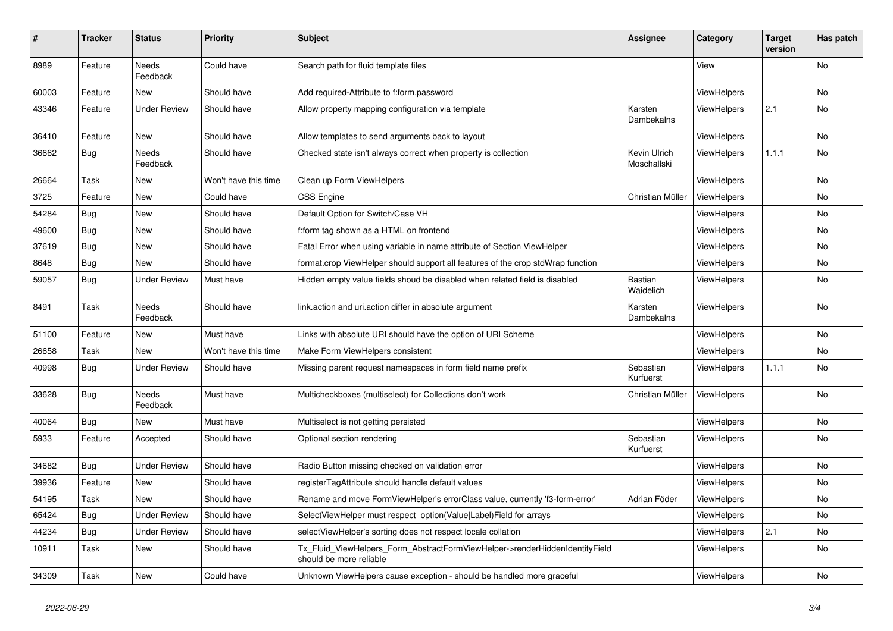| ∦     | <b>Tracker</b> | <b>Status</b>            | <b>Priority</b>      | <b>Subject</b>                                                                                         | Assignee                    | Category           | <b>Target</b><br>version | Has patch      |
|-------|----------------|--------------------------|----------------------|--------------------------------------------------------------------------------------------------------|-----------------------------|--------------------|--------------------------|----------------|
| 8989  | Feature        | Needs<br>Feedback        | Could have           | Search path for fluid template files                                                                   |                             | View               |                          | No             |
| 60003 | Feature        | <b>New</b>               | Should have          | Add required-Attribute to f:form.password                                                              |                             | <b>ViewHelpers</b> |                          | No             |
| 43346 | Feature        | <b>Under Review</b>      | Should have          | Allow property mapping configuration via template                                                      | Karsten<br>Dambekalns       | ViewHelpers        | 2.1                      | No             |
| 36410 | Feature        | <b>New</b>               | Should have          | Allow templates to send arguments back to layout                                                       |                             | <b>ViewHelpers</b> |                          | No             |
| 36662 | <b>Bug</b>     | <b>Needs</b><br>Feedback | Should have          | Checked state isn't always correct when property is collection                                         | Kevin Ulrich<br>Moschallski | ViewHelpers        | 1.1.1                    | No             |
| 26664 | Task           | New                      | Won't have this time | Clean up Form ViewHelpers                                                                              |                             | <b>ViewHelpers</b> |                          | No             |
| 3725  | Feature        | New                      | Could have           | <b>CSS Engine</b>                                                                                      | Christian Müller            | ViewHelpers        |                          | No             |
| 54284 | <b>Bug</b>     | New                      | Should have          | Default Option for Switch/Case VH                                                                      |                             | <b>ViewHelpers</b> |                          | No             |
| 49600 | Bug            | New                      | Should have          | f:form tag shown as a HTML on frontend                                                                 |                             | <b>ViewHelpers</b> |                          | No             |
| 37619 | <b>Bug</b>     | New                      | Should have          | Fatal Error when using variable in name attribute of Section ViewHelper                                |                             | ViewHelpers        |                          | No             |
| 8648  | Bug            | <b>New</b>               | Should have          | format.crop ViewHelper should support all features of the crop stdWrap function                        |                             | <b>ViewHelpers</b> |                          | No             |
| 59057 | Bug            | <b>Under Review</b>      | Must have            | Hidden empty value fields shoud be disabled when related field is disabled                             | Bastian<br>Waidelich        | <b>ViewHelpers</b> |                          | No             |
| 8491  | Task           | Needs<br>Feedback        | Should have          | link.action and uri.action differ in absolute argument                                                 | Karsten<br>Dambekalns       | <b>ViewHelpers</b> |                          | No             |
| 51100 | Feature        | <b>New</b>               | Must have            | Links with absolute URI should have the option of URI Scheme                                           |                             | <b>ViewHelpers</b> |                          | No             |
| 26658 | Task           | <b>New</b>               | Won't have this time | Make Form ViewHelpers consistent                                                                       |                             | <b>ViewHelpers</b> |                          | No.            |
| 40998 | <b>Bug</b>     | <b>Under Review</b>      | Should have          | Missing parent request namespaces in form field name prefix                                            | Sebastian<br>Kurfuerst      | <b>ViewHelpers</b> | 1.1.1                    | <b>No</b>      |
| 33628 | Bug            | Needs<br>Feedback        | Must have            | Multicheckboxes (multiselect) for Collections don't work                                               | Christian Müller            | <b>ViewHelpers</b> |                          | No             |
| 40064 | <b>Bug</b>     | New                      | Must have            | Multiselect is not getting persisted                                                                   |                             | ViewHelpers        |                          | No             |
| 5933  | Feature        | Accepted                 | Should have          | Optional section rendering                                                                             | Sebastian<br>Kurfuerst      | <b>ViewHelpers</b> |                          | No             |
| 34682 | <b>Bug</b>     | <b>Under Review</b>      | Should have          | Radio Button missing checked on validation error                                                       |                             | <b>ViewHelpers</b> |                          | <b>No</b>      |
| 39936 | Feature        | <b>New</b>               | Should have          | registerTagAttribute should handle default values                                                      |                             | <b>ViewHelpers</b> |                          | No             |
| 54195 | Task           | <b>New</b>               | Should have          | Rename and move FormViewHelper's errorClass value, currently 'f3-form-error'                           | Adrian Föder                | <b>ViewHelpers</b> |                          | No             |
| 65424 | Bug            | <b>Under Review</b>      | Should have          | SelectViewHelper must respect option(Value Label)Field for arrays                                      |                             | <b>ViewHelpers</b> |                          | N <sub>o</sub> |
| 44234 | <b>Bug</b>     | <b>Under Review</b>      | Should have          | selectViewHelper's sorting does not respect locale collation                                           |                             | ViewHelpers        | 2.1                      | No             |
| 10911 | Task           | New                      | Should have          | Tx_Fluid_ViewHelpers_Form_AbstractFormViewHelper->renderHiddenIdentityField<br>should be more reliable |                             | ViewHelpers        |                          | No             |
| 34309 | Task           | New                      | Could have           | Unknown ViewHelpers cause exception - should be handled more graceful                                  |                             | ViewHelpers        |                          | No             |